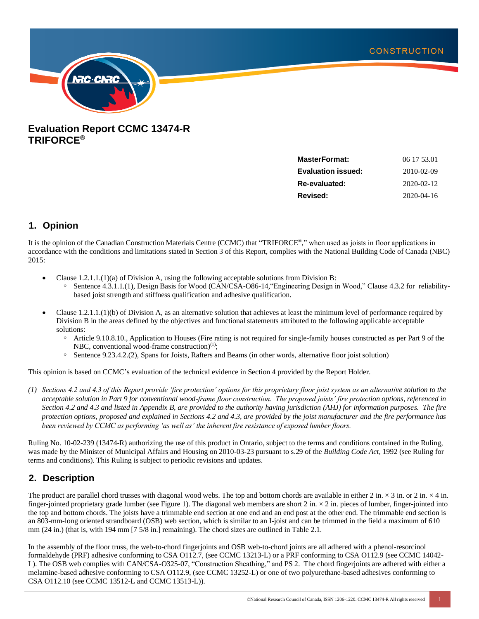

# **Evaluation Report CCMC 13474-R TRIFORCE®**

| <b>MasterFormat:</b>      | 06 17 53.01      |
|---------------------------|------------------|
| <b>Evaluation issued:</b> | 2010-02-09       |
| Re-evaluated:             | 2020-02-12       |
| Revised:                  | $2020 - 04 - 16$ |
|                           |                  |

## **1. Opinion**

It is the opinion of the Canadian Construction Materials Centre (CCMC) that "TRIFORCE®," when used as joists in floor applications in accordance with the conditions and limitations stated in Section 3 of this Report, complies with the National Building Code of Canada (NBC) 2015:

- Clause  $1.2.1.1(1)(a)$  of Division A, using the following acceptable solutions from Division B:
	- Sentence 4.3.1.1.(1), Design Basis for Wood (CAN/CSA-O86-14, "Engineering Design in Wood," Clause 4.3.2 for reliabilitybased joist strength and stiffness qualification and adhesive qualification.
- Clause 1.2.1.1.(1)(b) of Division A, as an alternative solution that achieves at least the minimum level of performance required by Division B in the areas defined by the objectives and functional statements attributed to the following applicable acceptable solutions:
	- ᵒ Article 9.10.8.10., Application to Houses (Fire rating is not required for single-family houses constructed as per Part 9 of the NBC, conventional wood-frame construction $(1)$ ;
	- Sentence 9.23.4.2.(2), Spans for Joists, Rafters and Beams (in other words, alternative floor joist solution)

This opinion is based on CCMC's evaluation of the technical evidence in Section 4 provided by the Report Holder.

*(1) Sections 4.2 and 4.3 of this Report provide 'fire protection' options for this proprietary floor joist system as an alternative solution to the acceptable solution in Part 9 for conventional wood-frame floor construction. The proposed joists' fire protection options, referenced in Section 4.2 and 4.3 and listed in Appendix B, are provided to the authority having jurisdiction (AHJ) for information purposes. The fire protection options, proposed and explained in Sections 4.2 and 4.3, are provided by the joist manufacturer and the fire performance has been reviewed by CCMC as performing 'as well as' the inherent fire resistance of exposed lumber floors.* 

Ruling No. 10-02-239 (13474-R) authorizing the use of this product in Ontario, subject to the terms and conditions contained in the Ruling, was made by the Minister of Municipal Affairs and Housing on 2010-03-23 pursuant to s.29 of the *Building Code Act*, 1992 (see Ruling for terms and conditions). This Ruling is subject to periodic revisions and updates.

# **2. Description**

The product are parallel chord trusses with diagonal wood webs. The top and bottom chords are available in either 2 in.  $\times$  3 in. or 2 in.  $\times$  4 in. finger-jointed proprietary grade lumber (see Figure 1). The diagonal web members are short  $2$  in.  $\times$  2 in. pieces of lumber, finger-jointed into the top and bottom chords. The joists have a trimmable end section at one end and an end post at the other end. The trimmable end section is an 803-mm-long oriented strandboard (OSB) web section, which is similar to an I-joist and can be trimmed in the field a maximum of 610 mm (24 in.) (that is, with 194 mm [7 5/8 in.] remaining). The chord sizes are outlined in Table 2.1.

In the assembly of the floor truss, the web-to-chord fingerjoints and OSB web-to-chord joints are all adhered with a phenol-resorcinol formaldehyde (PRF) adhesive conforming to CSA O112.7, (see CCMC 13213-L) or a PRF conforming to CSA O112.9 (see CCMC 14042- L). The OSB web complies with CAN/CSA-O325-07, "Construction Sheathing," and PS 2. The chord fingerjoints are adhered with either a melamine-based adhesive conforming to CSA O112.9, (see CCMC 13252-L) or one of two polyurethane-based adhesives conforming to CSA O112.10 (see CCMC 13512-L and CCMC 13513-L)).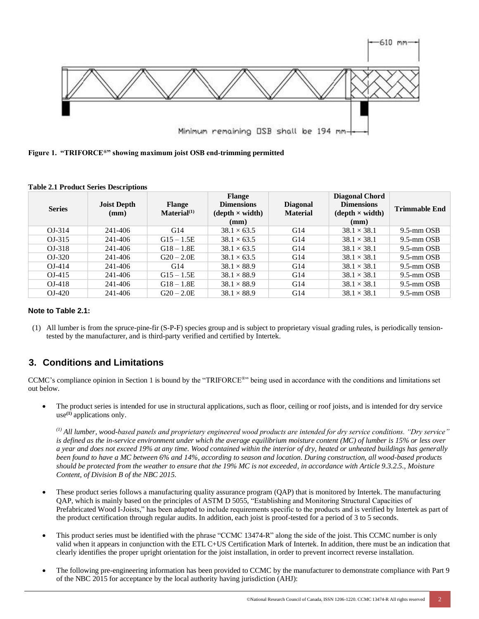

**Figure 1. "TRIFORCE®" showing maximum joist OSB end-trimming permitted**

| <b>Series</b> | <b>Joist Depth</b><br>(mm) | <b>Flange</b><br>$\mathbf{Material}^{(1)}$ | <b>Flange</b><br><b>Dimensions</b><br>$(depth \times width)$<br>(mm) | <b>Diagonal</b><br><b>Material</b> | <b>Diagonal Chord</b><br><b>Dimensions</b><br>$(\text{depth} \times \text{width})$<br>(mm) | <b>Trimmable End</b> |
|---------------|----------------------------|--------------------------------------------|----------------------------------------------------------------------|------------------------------------|--------------------------------------------------------------------------------------------|----------------------|
| $OJ-314$      | 241-406                    | G14                                        | $38.1 \times 63.5$                                                   | G14                                | $38.1 \times 38.1$                                                                         | $9.5$ -mm $OSB$      |
| $OJ-315$      | 241-406                    | $G15 - 1.5E$                               | $38.1 \times 63.5$                                                   | G14                                | $38.1 \times 38.1$                                                                         | $9.5$ -mm $OSB$      |
| $OJ-318$      | 241-406                    | $G18 - 1.8E$                               | $38.1 \times 63.5$                                                   | G14                                | $38.1 \times 38.1$                                                                         | $9.5$ -mm $OSB$      |
| $OJ-320$      | 241-406                    | $G20 - 2.0E$                               | $38.1 \times 63.5$                                                   | G14                                | $38.1 \times 38.1$                                                                         | $9.5$ -mm $OSB$      |
| $OJ-414$      | 241-406                    | G14                                        | $38.1 \times 88.9$                                                   | G14                                | $38.1 \times 38.1$                                                                         | $9.5$ -mm $OSB$      |
| $OJ-415$      | 241-406                    | $G15 - 1.5E$                               | $38.1 \times 88.9$                                                   | G14                                | $38.1 \times 38.1$                                                                         | $9.5$ -mm $OSB$      |
| $OJ-418$      | 241-406                    | $G18 - 1.8E$                               | $38.1 \times 88.9$                                                   | G14                                | $38.1 \times 38.1$                                                                         | 9.5-mm OSB           |
| $OJ-420$      | 241-406                    | $G20 - 2.0E$                               | $38.1 \times 88.9$                                                   | G14                                | $38.1 \times 38.1$                                                                         | $9.5$ -mm $OSB$      |

**Table 2.1 Product Series Descriptions**

### **Note to Table 2.1:**

(1) All lumber is from the spruce-pine-fir (S-P-F) species group and is subject to proprietary visual grading rules, is periodically tensiontested by the manufacturer, and is third-party verified and certified by Intertek.

# **3. Conditions and Limitations**

CCMC's compliance opinion in Section 1 is bound by the "TRIFORCE® " being used in accordance with the conditions and limitations set out below.

• The product series is intended for use in structural applications, such as floor, ceiling or roof joists, and is intended for dry service use**(1)** applications only.

*(1) All lumber, wood-based panels and proprietary engineered wood products are intended for dry service conditions. "Dry service" is defined as the in-service environment under which the average equilibrium moisture content (MC) of lumber is 15% or less over a year and does not exceed 19% at any time. Wood contained within the interior of dry, heated or unheated buildings has generally been found to have a MC between 6% and 14%, according to season and location. During construction, all wood-based products should be protected from the weather to ensure that the 19% MC is not exceeded, in accordance with Article 9.3.2.5., Moisture Content, of Division B of the NBC 2015.* 

- These product series follows a manufacturing quality assurance program (QAP) that is monitored by Intertek. The manufacturing QAP, which is mainly based on the principles of ASTM D 5055, "Establishing and Monitoring Structural Capacities of Prefabricated Wood I-Joists," has been adapted to include requirements specific to the products and is verified by Intertek as part of the product certification through regular audits. In addition, each joist is proof-tested for a period of 3 to 5 seconds.
- This product series must be identified with the phrase "CCMC 13474-R" along the side of the joist. This CCMC number is only valid when it appears in conjunction with the ETL C+US Certification Mark of Intertek. In addition, there must be an indication that clearly identifies the proper upright orientation for the joist installation, in order to prevent incorrect reverse installation.
- The following pre-engineering information has been provided to CCMC by the manufacturer to demonstrate compliance with Part 9 of the NBC 2015 for acceptance by the local authority having jurisdiction (AHJ):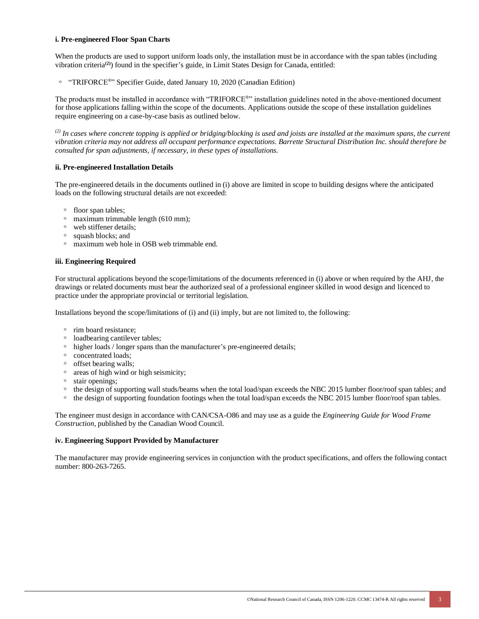#### **i. Pre-engineered Floor Span Charts**

When the products are used to support uniform loads only, the installation must be in accordance with the span tables (including vibration criteria**(2)**) found in the specifier's guide, in Limit States Design for Canada, entitled:

<sup>o</sup> "TRIFORCE<sup>®</sup>" Specifier Guide, dated January 10, 2020 (Canadian Edition)

The products must be installed in accordance with "TRIFORCE® " installation guidelines noted in the above-mentioned document for those applications falling within the scope of the documents. Applications outside the scope of these installation guidelines require engineering on a case-by-case basis as outlined below.

*(2) In cases where concrete topping is applied or bridging/blocking is used and joists are installed at the maximum spans, the current vibration criteria may not address all occupant performance expectations. Barrette Structural Distribution Inc. should therefore be consulted for span adjustments, if necessary, in these types of installations.* 

#### **ii. Pre-engineered Installation Details**

The pre-engineered details in the documents outlined in (i) above are limited in scope to building designs where the anticipated loads on the following structural details are not exceeded:

- floor span tables;
- $\degree$  maximum trimmable length (610 mm);
- web stiffener details:
- ᵒ squash blocks; and
- maximum web hole in OSB web trimmable end.

#### **iii. Engineering Required**

For structural applications beyond the scope/limitations of the documents referenced in (i) above or when required by the AHJ, the drawings or related documents must bear the authorized seal of a professional engineer skilled in wood design and licenced to practice under the appropriate provincial or territorial legislation.

Installations beyond the scope/limitations of (i) and (ii) imply, but are not limited to, the following:

- rim board resistance:
- loadbearing cantilever tables;
- higher loads / longer spans than the manufacturer's pre-engineered details;
- concentrated loads;
- offset bearing walls;
- areas of high wind or high seismicity;
- stair openings;
- ᵒ the design of supporting wall studs/beams when the total load/span exceeds the NBC 2015 lumber floor/roof span tables; and
- $\degree$  the design of supporting foundation footings when the total load/span exceeds the NBC 2015 lumber floor/roof span tables.

The engineer must design in accordance with CAN/CSA-O86 and may use as a guide the *Engineering Guide for Wood Frame Construction*, published by the Canadian Wood Council.

#### **iv. Engineering Support Provided by Manufacturer**

The manufacturer may provide engineering services in conjunction with the product specifications, and offers the following contact number: 800-263-7265.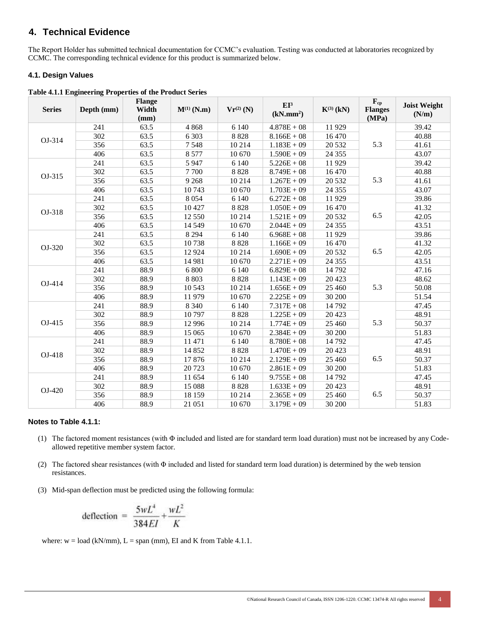# **4. Technical Evidence**

The Report Holder has submitted technical documentation for CCMC's evaluation. Testing was conducted at laboratories recognized by CCMC. The corresponding technical evidence for this product is summarized below.

### **4.1. Design Values**

**Table 4.1.1 Engineering Properties of the Product Series**

| <b>Series</b> | Depth (mm) | <b>Flange</b><br>Width<br>(mm) | $M^{(1)}(N.m)$ | $Vr^{(2)}$ (N) | $EI^3$<br>(kN/mm <sup>2</sup> ) | $K^{(3)}$ (kN) | $\mathbf{F}_{\mathrm{cp}}$<br><b>Flanges</b><br>(MPa) | <b>Joist Weight</b><br>(N/m) |
|---------------|------------|--------------------------------|----------------|----------------|---------------------------------|----------------|-------------------------------------------------------|------------------------------|
|               | 241        | 63.5                           | 4868           | 6 1 4 0        | $4.878E + 08$                   | 11 929         |                                                       | 39.42                        |
| OJ-314        | 302        | 63.5                           | 6 3 0 3        | 8828           | $8.166E + 08$                   | 16 470         |                                                       | 40.88                        |
|               | 356        | 63.5                           | 7548           | 10 214         | $1.183E + 09$                   | 20 532         | 5.3                                                   | 41.61                        |
|               | 406        | 63.5                           | 8 5 7 7        | 10 670         | $1.590E + 09$                   | 24 3 5 5       |                                                       | 43.07                        |
|               | 241        | 63.5                           | 5 9 4 7        | 6 1 4 0        | $5.226E + 08$                   | 11 929         |                                                       | 39.42                        |
| OJ-315        | 302        | 63.5                           | 7700           | 8828           | $8.749E + 08$                   | 16 470         |                                                       | 40.88                        |
|               | 356        | 63.5                           | 9 2 6 8        | 10 214         | $1.267E + 09$                   | 20 532         | 5.3                                                   | 41.61                        |
|               | 406        | 63.5                           | 10743          | 10 670         | $1.703E + 09$                   | 24 3 5 5       |                                                       | 43.07                        |
|               | 241        | 63.5                           | 8 0 5 4        | 6 1 4 0        | $6.272E + 08$                   | 11 929         |                                                       | 39.86                        |
| OJ-318        | 302        | 63.5                           | 10 4 27        | 8828           | $1.050E + 09$                   | 16 470         |                                                       | 41.32                        |
|               | 356        | 63.5                           | 12 550         | 10 214         | $1.521E + 09$                   | 20 532         | 6.5                                                   | 42.05                        |
|               | 406        | 63.5                           | 14 5 49        | 10 670         | $2.044E + 09$                   | 24 3 5 5       |                                                       | 43.51                        |
|               | 241        | 63.5                           | 8 2 9 4        | 6 1 4 0        | $6.968E + 08$                   | 11 929         |                                                       | 39.86                        |
| OJ-320        | 302        | 63.5                           | 10738          | 8828           | $1.166E + 09$                   | 16 470         |                                                       | 41.32                        |
|               | 356        | 63.5                           | 12 9 24        | 10 214         | $1.690E + 09$                   | 20 5 32        | 6.5                                                   | 42.05                        |
|               | 406        | 63.5                           | 14 981         | 10 670         | $2.271E + 09$                   | 24 3 5 5       |                                                       | 43.51                        |
|               | 241        | 88.9                           | 6 800          | 6 1 4 0        | $6.829E + 08$                   | 14 792         |                                                       | 47.16                        |
| OJ-414        | 302        | 88.9                           | 8 8 0 3        | 8 8 2 8        | $1.143E + 09$                   | 20 4 23        |                                                       | 48.62                        |
|               | 356        | 88.9                           | 10 543         | 10 214         | $1.656E + 09$                   | 25 460         | 5.3                                                   | 50.08                        |
|               | 406        | 88.9                           | 11 979         | 10 670         | $2.225E + 09$                   | 30 200         |                                                       | 51.54                        |
|               | 241        | 88.9                           | 8 3 4 0        | 6 1 4 0        | $7.317E + 08$                   | 14 792         |                                                       | 47.45                        |
|               | 302        | 88.9                           | 10797          | 8828           | $1.225E + 09$                   | 20 4 23        |                                                       | 48.91                        |
| OJ-415        | 356        | 88.9                           | 12 9 96        | 10 214         | $1.774E + 09$                   | 25 460         | 5.3                                                   | 50.37                        |
|               | 406        | 88.9                           | 15 065         | 10 670         | $2.384E + 09$                   | 30 200         |                                                       | 51.83                        |
|               | 241        | 88.9                           | 11 471         | 6 1 4 0        | $8.780E + 08$                   | 14 792         | 6.5                                                   | 47.45                        |
| OJ-418        | 302        | 88.9                           | 14 852         | 8828           | $1.470E + 09$                   | 20 4 23        |                                                       | 48.91                        |
|               | 356        | 88.9                           | 17876          | 10 214         | $2.129E + 09$                   | 25 460         |                                                       | 50.37                        |
|               | 406        | 88.9                           | 20 7 23        | 10 670         | $2.861E + 09$                   | 30 200         |                                                       | 51.83                        |
|               | 241        | 88.9                           | 11 654         | 6 1 4 0        | $9.755E + 08$                   | 14 792         |                                                       | 47.45                        |
| OJ-420        | 302        | 88.9                           | 15 088         | 8 8 2 8        | $1.633E + 09$                   | 20 4 23        |                                                       | 48.91                        |
|               | 356        | 88.9                           | 18 15 9        | 10 214         | $2.365E + 09$                   | 25 460         | 6.5                                                   | 50.37                        |
|               | 406        | 88.9                           | 21 051         | 10 670         | $3.179E + 09$                   | 30 200         |                                                       | 51.83                        |

#### **Notes to Table 4.1.1:**

- (1) The factored moment resistances (with Φ included and listed are for standard term load duration) must not be increased by any Codeallowed repetitive member system factor.
- (2) The factored shear resistances (with Φ included and listed for standard term load duration) is determined by the web tension resistances.
- (3) Mid-span deflection must be predicted using the following formula:

$$
\text{deflection} = \frac{5wL^4}{384EI} + \frac{wL^2}{K}
$$

where:  $w = load (kN/mm)$ ,  $L = span (mm)$ , EI and K from Table 4.1.1.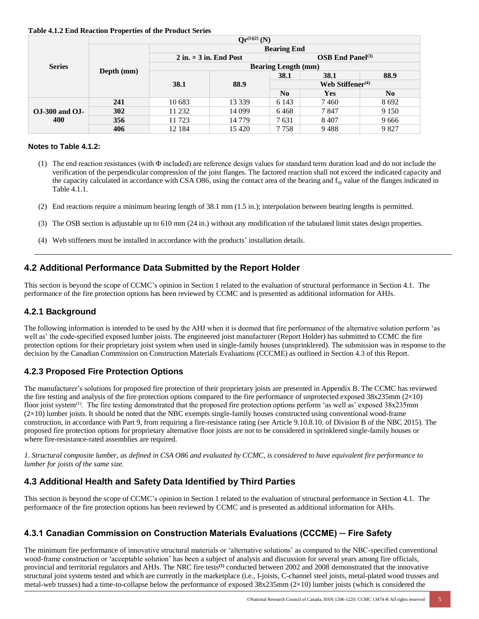| Table 4.1.2 End Reaction Properties of the Product Series |  |  |
|-----------------------------------------------------------|--|--|
|                                                           |  |  |

|                           |            |                            | $Or^{(1)(2)}(N)$              |                       |      |                |
|---------------------------|------------|----------------------------|-------------------------------|-----------------------|------|----------------|
| <b>Series</b>             | Depth (mm) | <b>Bearing End</b>         |                               |                       |      |                |
|                           |            |                            | 2 in. $\times$ 3 in. End Post | $OSB$ End Panel $(3)$ |      |                |
|                           |            | <b>Bearing Length (mm)</b> |                               |                       |      |                |
|                           |            | 38.1                       | 88.9                          | 38.1                  | 38.1 | 88.9           |
|                           |            |                            |                               | Web Stiffener $(4)$   |      |                |
|                           |            |                            |                               | No                    | Yes  | N <sub>0</sub> |
|                           | 241        | 10 683                     | 13 3 3 9                      | 6 1 4 3               | 7460 | 8 6 9 2        |
| $OJ-300$ and $OJ-$<br>400 | 302        | 11 232                     | 14 099                        | 6468                  | 7847 | 9 1 5 0        |
|                           | 356        | 11 723                     | 14 7 7 9                      | 7631                  | 8407 | 9666           |
|                           | 406        | 12 184                     | 15 4 20                       | 7758                  | 9488 | 9827           |

#### **Notes to Table 4.1.2:**

- (1) The end reaction resistances (with Φ included) are reference design values for standard term duration load and do not include the verification of the perpendicular compression of the joist flanges. The factored reaction shall not exceed the indicated capacity and the capacity calculated in accordance with CSA O86, using the contact area of the bearing and f<sub>cp</sub> value of the flanges indicated in Table 4.1.1.
- (2) End reactions require a minimum bearing length of 38.1 mm (1.5 in.); interpolation between bearing lengths is permitted.
- (3) The OSB section is adjustable up to 610 mm (24 in.) without any modification of the tabulated limit states design properties.
- (4) Web stiffeners must be installed in accordance with the products' installation details.

## **4.2 Additional Performance Data Submitted by the Report Holder**

This section is beyond the scope of CCMC's opinion in Section 1 related to the evaluation of structural performance in Section 4.1. The performance of the fire protection options has been reviewed by CCMC and is presented as additional information for AHJs.

## **4.2.1 Background**

The following information is intended to be used by the AHJ when it is deemed that fire performance of the alternative solution perform 'as well as' the code-specified exposed lumber joists. The engineered joist manufacturer (Report Holder) has submitted to CCMC the fire protection options for their proprietary joist system when used in single-family houses (unsprinklered). The submission was in response to the decision by the Canadian Commission on Construction Materials Evaluations (CCCME) as outlined in Section 4.3 of this Report.

## **4.2.3 Proposed Fire Protection Options**

The manufacturer's solutions for proposed fire protection of their proprietary joists are presented in Appendix B. The CCMC has reviewed the fire testing and analysis of the fire protection options compared to the fire performance of unprotected exposed  $38x235$ mm ( $2\times10$ ) floor joist system<sup>(1)</sup>. The fire testing demonstrated that the proposed fire protection options perform 'as well as' exposed  $38x235mm$  $(2\times10)$  lumber joists. It should be noted that the NBC exempts single-family houses constructed using conventional wood-frame construction, in accordance with Part 9, from requiring a fire-resistance rating (see Article 9.10.8.10. of Division B of the NBC 2015). The proposed fire protection options for proprietary alternative floor joists are not to be considered in sprinklered single-family houses or where fire-resistance-rated assemblies are required.

*1. Structural composite lumber, as defined in CSA O86 and evaluated by CCMC, is considered to have equivalent fire performance to lumber for joists of the same size.*

## **4.3 Additional Health and Safety Data Identified by Third Parties**

This section is beyond the scope of CCMC's opinion in Section 1 related to the evaluation of structural performance in Section 4.1. The performance of the fire protection options has been reviewed by CCMC and is presented as additional information for AHJs.

## **4.3.1 Canadian Commission on Construction Materials Evaluations (CCCME) ─ Fire Safety**

The minimum fire performance of innovative structural materials or 'alternative solutions' as compared to the NBC-specified conventional wood-frame construction or 'acceptable solution' has been a subject of analysis and discussion for several years among fire officials, provincial and territorial regulators and AHJs. The NRC fire tests**(1)** conducted between 2002 and 2008 demonstrated that the innovative structural joist systems tested and which are currently in the marketplace (i.e., I-joists, C-channel steel joists, metal-plated wood trusses and metal-web trusses) had a time-to-collapse below the performance of exposed  $38x235$ mm ( $2\times10$ ) lumber joists (which is considered the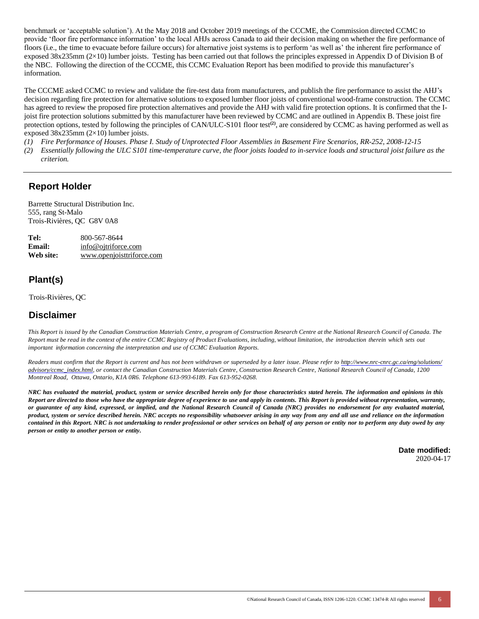benchmark or 'acceptable solution'). At the May 2018 and October 2019 meetings of the CCCME, the Commission directed CCMC to provide 'floor fire performance information' to the local AHJs across Canada to aid their decision making on whether the fire performance of floors (i.e., the time to evacuate before failure occurs) for alternative joist systems is to perform 'as well as' the inherent fire performance of exposed 38x235mm (2×10) lumber joists. Testing has been carried out that follows the principles expressed in Appendix D of Division B of the NBC. Following the direction of the CCCME, this CCMC Evaluation Report has been modified to provide this manufacturer's information.

The CCCME asked CCMC to review and validate the fire-test data from manufacturers, and publish the fire performance to assist the AHJ's decision regarding fire protection for alternative solutions to exposed lumber floor joists of conventional wood-frame construction. The CCMC has agreed to review the proposed fire protection alternatives and provide the AHJ with valid fire protection options. It is confirmed that the Ijoist fire protection solutions submitted by this manufacturer have been reviewed by CCMC and are outlined in Appendix B. These joist fire protection options, tested by following the principles of CAN/ULC-S101 floor test**(2)**, are considered by CCMC as having performed as well as exposed 38x235mm (2×10) lumber joists.

- *(1) Fire Performance of Houses. Phase I. Study of Unprotected Floor Assemblies in Basement Fire Scenarios, RR-252, 2008-12-15*
- *(2) Essentially following the ULC S101 time-temperature curve, the floor joists loaded to in-service loads and structural joist failure as the criterion.*

## **Report Holder**

Barrette Structural Distribution Inc. 555, rang St-Malo Trois-Rivières, QC G8V 0A8

| Tel:      | 800-567-8644              |
|-----------|---------------------------|
| Email:    | info@ojtriforce.com       |
| Web site: | www.openjoisttriforce.com |

# **Plant(s)**

Trois-Rivières, QC

# **Disclaimer**

*This Report is issued by the Canadian Construction Materials Centre, a program of Construction Research Centre at the National Research Council of Canada. The*  Report must be read in the context of the entire CCMC Registry of Product Evaluations, including, without limitation, the introduction therein which sets out *important information concerning the interpretation and use of CCMC Evaluation Reports.*

Readers must confirm that the Report is current and has not been withdrawn or superseded by a later issue. Please refer to http://www.nrc-cnrc.gc.ca/eng/solutions/ [advisory/ccmc\\_index.html,](http://www.nrc-cnrc.gc.ca/eng/solutions/advisory/ccmc_index.html) or contact the Canadian Construction Materials Centre, Construction Research Centre, National Research Council of Canada, 1200 *Montreal Road, Ottawa, Ontario, K1A 0R6. Telephone 613-993-6189. Fax 613-952-0268.*

NRC has evaluated the material, product, system or service described herein only for those characteristics stated herein. The information and opinions in this Report are directed to those who have the appropriate degree of experience to use and apply its contents. This Report is provided without representation, warranty, or guarantee of any kind, expressed, or implied, and the National Research Council of Canada (NRC) provides no endorsement for any evaluated material, product, system or service described herein. NRC accepts no responsibility whatsoever arising in any way from any and all use and reliance on the information contained in this Report. NRC is not undertaking to render professional or other services on behalf of any person or entity nor to perform any duty owed by any *person or entity to another person or entity.*

> **Date modified:** 2020-04-17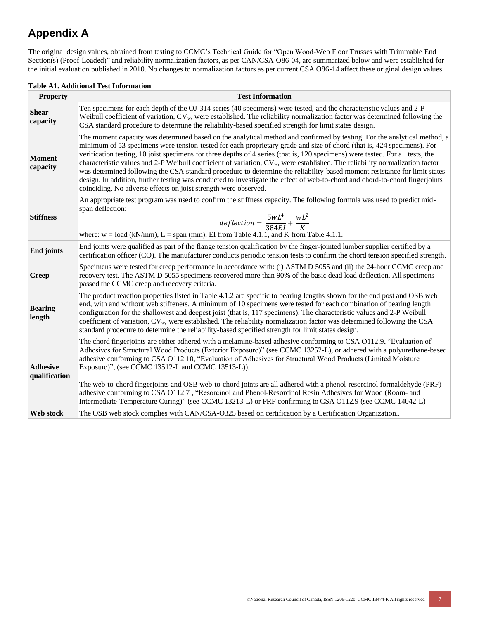# **Appendix A**

The original design values, obtained from testing to CCMC's Technical Guide for "Open Wood-Web Floor Trusses with Trimmable End Section(s) (Proof-Loaded)" and reliability normalization factors, as per CAN/CSA-O86-04, are summarized below and were established for the initial evaluation published in 2010. No changes to normalization factors as per current CSA O86-14 affect these original design values.

| <b>Property</b>                  | <b>Test Information</b>                                                                                                                                                                                                                                                                                                                                                                                                                                                                                                                                                                                                                                                                                                                                                                                                                                          |
|----------------------------------|------------------------------------------------------------------------------------------------------------------------------------------------------------------------------------------------------------------------------------------------------------------------------------------------------------------------------------------------------------------------------------------------------------------------------------------------------------------------------------------------------------------------------------------------------------------------------------------------------------------------------------------------------------------------------------------------------------------------------------------------------------------------------------------------------------------------------------------------------------------|
| <b>Shear</b><br>capacity         | Ten specimens for each depth of the OJ-314 series (40 specimens) were tested, and the characteristic values and 2-P<br>Weibull coefficient of variation, $CV_w$ , were established. The reliability normalization factor was determined following the<br>CSA standard procedure to determine the reliability-based specified strength for limit states design.                                                                                                                                                                                                                                                                                                                                                                                                                                                                                                   |
| <b>Moment</b><br>capacity        | The moment capacity was determined based on the analytical method and confirmed by testing. For the analytical method, a<br>minimum of 53 specimens were tension-tested for each proprietary grade and size of chord (that is, 424 specimens). For<br>verification testing, 10 joist specimens for three depths of 4 series (that is, 120 specimens) were tested. For all tests, the<br>characteristic values and 2-P Weibull coefficient of variation, CV <sub>w</sub> , were established. The reliability normalization factor<br>was determined following the CSA standard procedure to determine the reliability-based moment resistance for limit states<br>design. In addition, further testing was conducted to investigate the effect of web-to-chord and chord-to-chord fingerjoints<br>coinciding. No adverse effects on joist strength were observed. |
| <b>Stiffness</b>                 | An appropriate test program was used to confirm the stiffness capacity. The following formula was used to predict mid-<br>span deflection:<br>$\label{eq:defluct} deflection = \frac{5wL^4}{384EI} + \frac{wL^2}{K}$<br>where: $w = load (kN/mm)$ , $L = span (mm)$ , EI from Table 4.1.1, and K from Table 4.1.1.                                                                                                                                                                                                                                                                                                                                                                                                                                                                                                                                               |
| <b>End joints</b>                | End joints were qualified as part of the flange tension qualification by the finger-jointed lumber supplier certified by a<br>certification officer (CO). The manufacturer conducts periodic tension tests to confirm the chord tension specified strength.                                                                                                                                                                                                                                                                                                                                                                                                                                                                                                                                                                                                      |
| <b>Creep</b>                     | Specimens were tested for creep performance in accordance with: (i) ASTM D 5055 and (ii) the 24-hour CCMC creep and<br>recovery test. The ASTM D 5055 specimens recovered more than 90% of the basic dead load deflection. All specimens<br>passed the CCMC creep and recovery criteria.                                                                                                                                                                                                                                                                                                                                                                                                                                                                                                                                                                         |
| <b>Bearing</b><br>length         | The product reaction properties listed in Table 4.1.2 are specific to bearing lengths shown for the end post and OSB web<br>end, with and without web stiffeners. A minimum of 10 specimens were tested for each combination of bearing length<br>configuration for the shallowest and deepest joist (that is, 117 specimens). The characteristic values and 2-P Weibull<br>coefficient of variation, CV <sub>w</sub> , were established. The reliability normalization factor was determined following the CSA<br>standard procedure to determine the reliability-based specified strength for limit states design.                                                                                                                                                                                                                                             |
| <b>Adhesive</b><br>qualification | The chord fingerjoints are either adhered with a melamine-based adhesive conforming to CSA 0112.9, "Evaluation of<br>Adhesives for Structural Wood Products (Exterior Exposure)" (see CCMC 13252-L), or adhered with a polyurethane-based<br>adhesive conforming to CSA 0112.10, "Evaluation of Adhesives for Structural Wood Products (Limited Moisture<br>Exposure)", (see CCMC 13512-L and CCMC 13513-L)).<br>The web-to-chord fingerjoints and OSB web-to-chord joints are all adhered with a phenol-resorcinol formaldehyde (PRF)<br>adhesive conforming to CSA 0112.7, "Resorcinol and Phenol-Resorcinol Resin Adhesives for Wood (Room- and<br>Intermediate-Temperature Curing)" (see CCMC 13213-L) or PRF confirming to CSA 0112.9 (see CCMC 14042-L)                                                                                                    |
| <b>Web</b> stock                 | The OSB web stock complies with CAN/CSA-O325 based on certification by a Certification Organization                                                                                                                                                                                                                                                                                                                                                                                                                                                                                                                                                                                                                                                                                                                                                              |

#### **Table A1. Additional Test Information**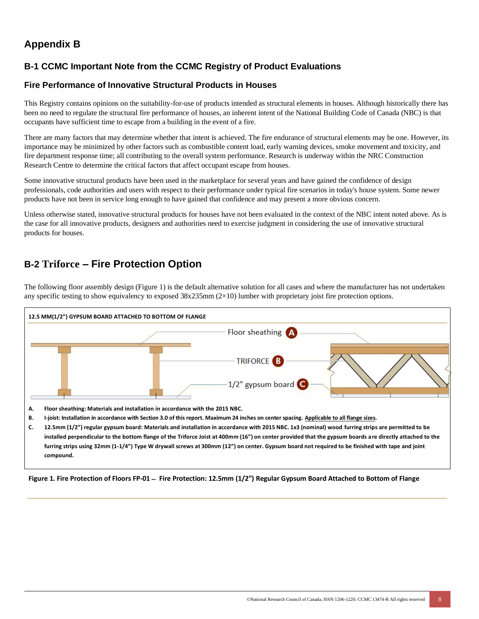# **Appendix B**

# **B-1 CCMC Important Note from the CCMC Registry of Product Evaluations**

## **Fire Performance of Innovative Structural Products in Houses**

This Registry contains opinions on the suitability-for-use of products intended as structural elements in houses. Although historically there has been no need to regulate the structural fire performance of houses, an inherent intent of the National Building Code of Canada (NBC) is that occupants have sufficient time to escape from a building in the event of a fire.

There are many factors that may determine whether that intent is achieved. The fire endurance of structural elements may be one. However, its importance may be minimized by other factors such as combustible content load, early warning devices, smoke movement and toxicity, and fire department response time; all contributing to the overall system performance. Research is underway within the NRC Construction Research Centre to determine the critical factors that affect occupant escape from houses.

Some innovative structural products have been used in the marketplace for several years and have gained the confidence of design professionals, code authorities and users with respect to their performance under typical fire scenarios in today's house system. Some newer products have not been in service long enough to have gained that confidence and may present a more obvious concern.

Unless otherwise stated, innovative structural products for houses have not been evaluated in the context of the NBC intent noted above. As is the case for all innovative products, designers and authorities need to exercise judgment in considering the use of innovative structural products for houses.

# **B-2 Triforce – Fire Protection Option**

The following floor assembly design (Figure 1) is the default alternative solution for all cases and where the manufacturer has not undertaken any specific testing to show equivalency to exposed  $38x235mm$   $(2\times10)$  lumber with proprietary joist fire protection options.



**Figure 1. Fire Protection of Floors FP-01** − **Fire Protection: 12.5mm (1/2") Regular Gypsum Board Attached to Bottom of Flange**